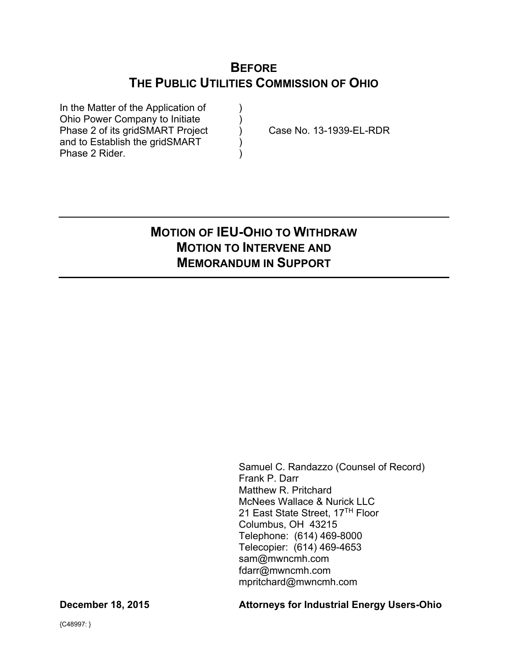# **BEFORE THE PUBLIC UTILITIES COMMISSION OF OHIO**

In the Matter of the Application of ) Ohio Power Company to Initiate (1) Phase 2 of its gridSMART Project (a) Case No. 13-1939-EL-RDR and to Establish the gridSMART (and to Establish the gridSMART) Phase 2 Rider.

# **MOTION OF IEU-OHIO TO WITHDRAW MOTION TO INTERVENE AND MEMORANDUM IN SUPPORT**

Samuel C. Randazzo (Counsel of Record) Frank P. Darr Matthew R. Pritchard McNees Wallace & Nurick LLC 21 East State Street, 17<sup>TH</sup> Floor Columbus, OH 43215 Telephone: (614) 469-8000 Telecopier: (614) 469-4653 sam@mwncmh.com fdarr@mwncmh.com mpritchard@mwncmh.com

#### **December 18, 2015 Attorneys for Industrial Energy Users-Ohio**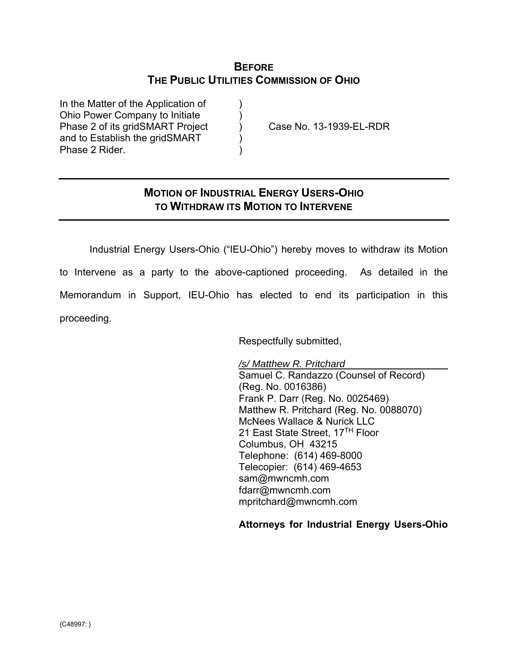## **BEFORE THE PUBLIC UTILITIES COMMISSION OF OHIO**

In the Matter of the Application of  $\qquad)$ Ohio Power Company to Initiate ) Phase 2 of its gridSMART Project (a) Case No. 13-1939-EL-RDR and to Establish the gridSMART Phase 2 Rider. )

## **MOTION OF INDUSTRIAL ENERGY USERS-OHIO TO WITHDRAW ITS MOTION TO INTERVENE**

 Industrial Energy Users-Ohio ("IEU-Ohio") hereby moves to withdraw its Motion to Intervene as a party to the above-captioned proceeding. As detailed in the Memorandum in Support, IEU-Ohio has elected to end its participation in this proceeding.

Respectfully submitted,

 */s/ Matthew R. Pritchard*  Samuel C. Randazzo (Counsel of Record) (Reg. No. 0016386) Frank P. Darr (Reg. No. 0025469) Matthew R. Pritchard (Reg. No. 0088070) McNees Wallace & Nurick LLC 21 East State Street, 17<sup>TH</sup> Floor Columbus, OH 43215 Telephone: (614) 469-8000 Telecopier: (614) 469-4653 sam@mwncmh.com fdarr@mwncmh.com mpritchard@mwncmh.com

**Attorneys for Industrial Energy Users-Ohio**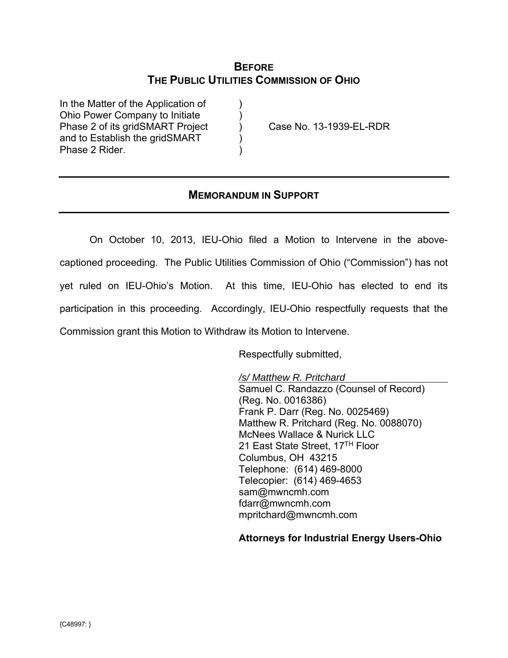## **BEFORE THE PUBLIC UTILITIES COMMISSION OF OHIO**

In the Matter of the Application of  $\qquad)$ Ohio Power Company to Initiate ) Phase 2 of its gridSMART Project (a) Case No. 13-1939-EL-RDR and to Establish the gridSMART Phase 2 Rider.

## **MEMORANDUM IN SUPPORT**

On October 10, 2013, IEU-Ohio filed a Motion to Intervene in the abovecaptioned proceeding. The Public Utilities Commission of Ohio ("Commission") has not yet ruled on IEU-Ohio's Motion. At this time, IEU-Ohio has elected to end its participation in this proceeding. Accordingly, IEU-Ohio respectfully requests that the Commission grant this Motion to Withdraw its Motion to Intervene.

Respectfully submitted,

 */s/ Matthew R. Pritchard*  Samuel C. Randazzo (Counsel of Record) (Reg. No. 0016386) Frank P. Darr (Reg. No. 0025469) Matthew R. Pritchard (Reg. No. 0088070) McNees Wallace & Nurick LLC 21 East State Street, 17<sup>TH</sup> Floor Columbus, OH 43215 Telephone: (614) 469-8000 Telecopier: (614) 469-4653 sam@mwncmh.com fdarr@mwncmh.com mpritchard@mwncmh.com

**Attorneys for Industrial Energy Users-Ohio**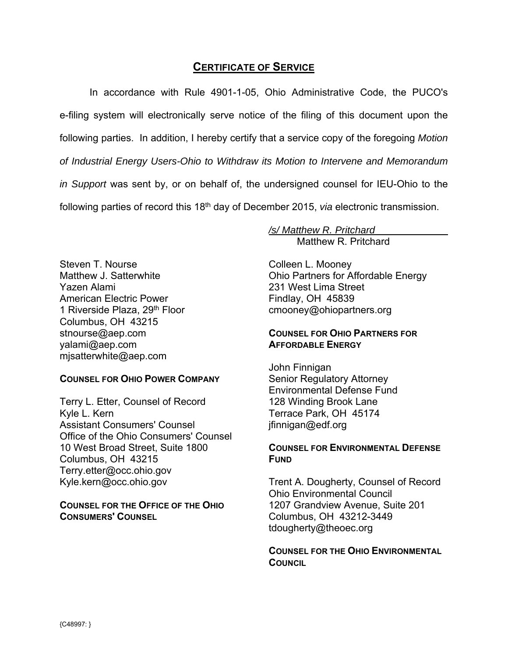## **CERTIFICATE OF SERVICE**

In accordance with Rule 4901-1-05, Ohio Administrative Code, the PUCO's e-filing system will electronically serve notice of the filing of this document upon the following parties. In addition, I hereby certify that a service copy of the foregoing *Motion of Industrial Energy Users-Ohio to Withdraw its Motion to Intervene and Memorandum in Support* was sent by, or on behalf of, the undersigned counsel for IEU-Ohio to the following parties of record this 18<sup>th</sup> day of December 2015, *via* electronic transmission.

Steven T. Nourse Matthew J. Satterwhite Yazen Alami American Electric Power 1 Riverside Plaza, 29<sup>th</sup> Floor Columbus, OH 43215 stnourse@aep.com yalami@aep.com mjsatterwhite@aep.com

#### **COUNSEL FOR OHIO POWER COMPANY**

Terry L. Etter, Counsel of Record Kyle L. Kern Assistant Consumers' Counsel Office of the Ohio Consumers' Counsel 10 West Broad Street, Suite 1800 Columbus, OH 43215 Terry.etter@occ.ohio.gov Kyle.kern@occ.ohio.gov

**COUNSEL FOR THE OFFICE OF THE OHIO CONSUMERS' COUNSEL**

*/s/ Matthew R. Pritchard*  Matthew R. Pritchard

Colleen L. Mooney Ohio Partners for Affordable Energy 231 West Lima Street Findlay, OH 45839 cmooney@ohiopartners.org

#### **COUNSEL FOR OHIO PARTNERS FOR AFFORDABLE ENERGY**

John Finnigan Senior Regulatory Attorney Environmental Defense Fund 128 Winding Brook Lane Terrace Park, OH 45174 jfinnigan@edf.org

### **COUNSEL FOR ENVIRONMENTAL DEFENSE FUND**

Trent A. Dougherty, Counsel of Record Ohio Environmental Council 1207 Grandview Avenue, Suite 201 Columbus, OH 43212-3449 tdougherty@theoec.org

**COUNSEL FOR THE OHIO ENVIRONMENTAL COUNCIL**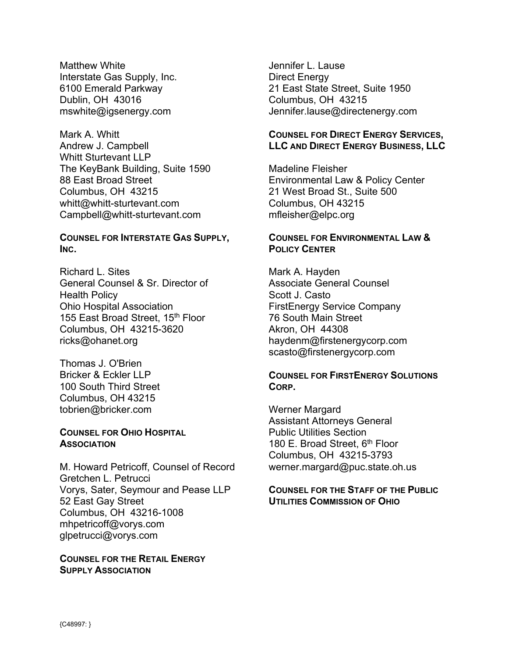Matthew White Interstate Gas Supply, Inc. 6100 Emerald Parkway Dublin, OH 43016 mswhite@igsenergy.com

Mark A. Whitt Andrew J. Campbell Whitt Sturtevant LLP The KeyBank Building, Suite 1590 88 East Broad Street Columbus, OH 43215 whitt@whitt-sturtevant.com Campbell@whitt-sturtevant.com

#### **COUNSEL FOR INTERSTATE GAS SUPPLY, INC.**

Richard L. Sites General Counsel & Sr. Director of Health Policy Ohio Hospital Association 155 East Broad Street, 15<sup>th</sup> Floor Columbus, OH 43215-3620 ricks@ohanet.org

Thomas J. O'Brien Bricker & Eckler LLP 100 South Third Street Columbus, OH 43215 tobrien@bricker.com

#### **COUNSEL FOR OHIO HOSPITAL ASSOCIATION**

M. Howard Petricoff, Counsel of Record Gretchen L. Petrucci Vorys, Sater, Seymour and Pease LLP 52 East Gay Street Columbus, OH 43216-1008 mhpetricoff@vorys.com glpetrucci@vorys.com

**COUNSEL FOR THE RETAIL ENERGY SUPPLY ASSOCIATION**

Jennifer L. Lause Direct Energy 21 East State Street, Suite 1950 Columbus, OH 43215 Jennifer.lause@directenergy.com

### **COUNSEL FOR DIRECT ENERGY SERVICES, LLC AND DIRECT ENERGY BUSINESS, LLC**

Madeline Fleisher Environmental Law & Policy Center 21 West Broad St., Suite 500 Columbus, OH 43215 mfleisher@elpc.org

#### **COUNSEL FOR ENVIRONMENTAL LAW & POLICY CENTER**

Mark A. Hayden Associate General Counsel Scott J. Casto FirstEnergy Service Company 76 South Main Street Akron, OH 44308 haydenm@firstenergycorp.com scasto@firstenergycorp.com

#### **COUNSEL FOR FIRSTENERGY SOLUTIONS CORP.**

Werner Margard Assistant Attorneys General Public Utilities Section 180 E. Broad Street, 6<sup>th</sup> Floor Columbus, OH 43215-3793 werner.margard@puc.state.oh.us

#### **COUNSEL FOR THE STAFF OF THE PUBLIC UTILITIES COMMISSION OF OHIO**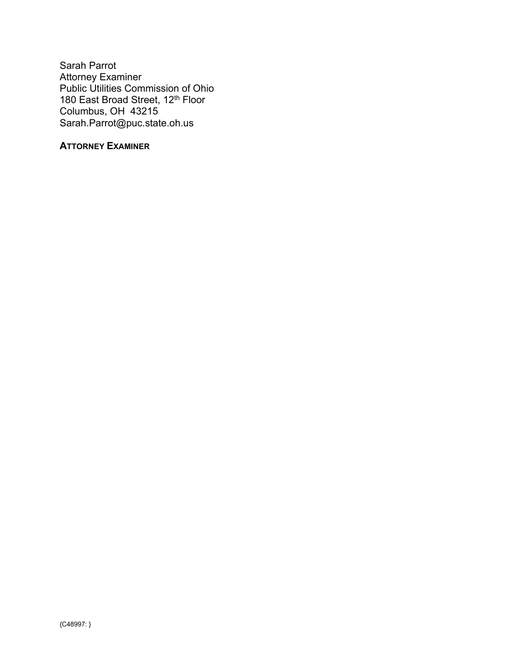Sarah Parrot Attorney Examiner Public Utilities Commission of Ohio 180 East Broad Street, 12<sup>th</sup> Floor Columbus, OH 43215 Sarah.Parrot@puc.state.oh.us

## **ATTORNEY EXAMINER**